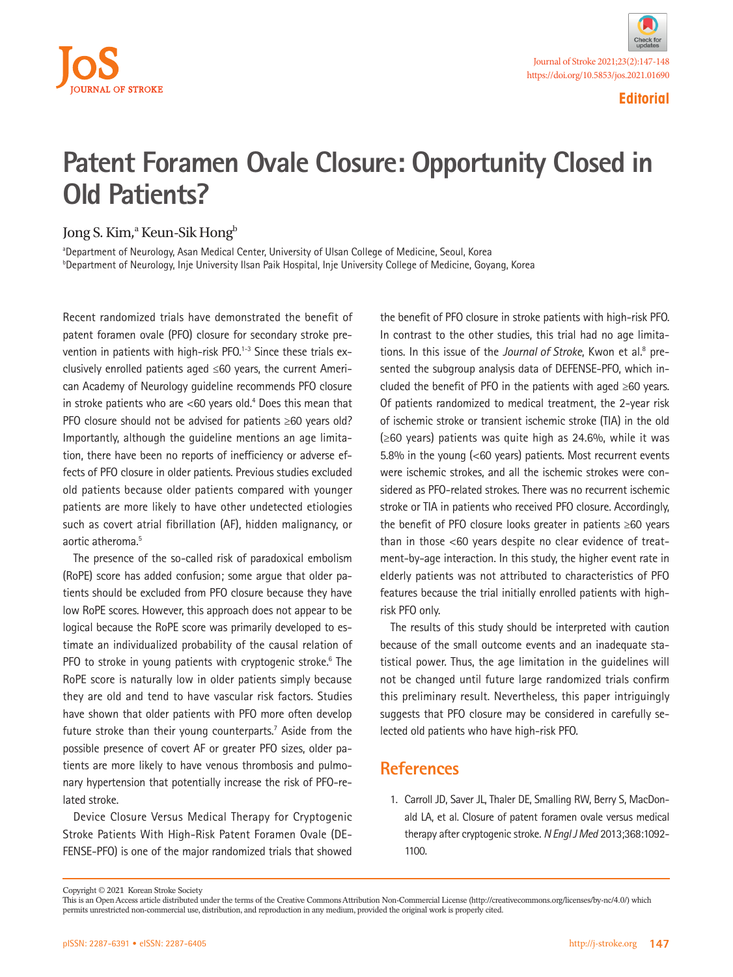

**Editorial**

## **Patent Foramen Ovale Closure: Opportunity Closed in Old Patients?**

## Jong S. Kim,<sup>a</sup> Keun-Sik Hong<sup>b</sup>

<sup>a</sup>Department of Neurology, Asan Medical Center, University of Ulsan College of Medicine, Seoul, Korea b Department of Neurology, Inje University Ilsan Paik Hospital, Inje University College of Medicine, Goyang, Korea

Recent randomized trials have demonstrated the benefit of patent foramen ovale (PFO) closure for secondary stroke prevention in patients with high-risk PFO.<sup>1-3</sup> Since these trials exclusively enrolled patients aged ≤60 years, the current American Academy of Neurology guideline recommends PFO closure in stroke patients who are  $<$  60 years old.<sup>4</sup> Does this mean that PFO closure should not be advised for patients ≥60 years old? Importantly, although the guideline mentions an age limitation, there have been no reports of inefficiency or adverse effects of PFO closure in older patients. Previous studies excluded old patients because older patients compared with younger patients are more likely to have other undetected etiologies such as covert atrial fibrillation (AF), hidden malignancy, or aortic atheroma.<sup>5</sup>

The presence of the so-called risk of paradoxical embolism (RoPE) score has added confusion; some argue that older patients should be excluded from PFO closure because they have low RoPE scores. However, this approach does not appear to be logical because the RoPE score was primarily developed to estimate an individualized probability of the causal relation of PFO to stroke in young patients with cryptogenic stroke.<sup>6</sup> The RoPE score is naturally low in older patients simply because they are old and tend to have vascular risk factors. Studies have shown that older patients with PFO more often develop future stroke than their young counterparts.<sup>7</sup> Aside from the possible presence of covert AF or greater PFO sizes, older patients are more likely to have venous thrombosis and pulmonary hypertension that potentially increase the risk of PFO-related stroke.

Device Closure Versus Medical Therapy for Cryptogenic Stroke Patients With High-Risk Patent Foramen Ovale (DE-FENSE-PFO) is one of the major randomized trials that showed

the benefit of PFO closure in stroke patients with high-risk PFO. In contrast to the other studies, this trial had no age limitations. In this issue of the *Journal of Stroke*, Kwon et al.<sup>8</sup> presented the subgroup analysis data of DEFENSE-PFO, which included the benefit of PFO in the patients with aged ≥60 years. Of patients randomized to medical treatment, the 2-year risk of ischemic stroke or transient ischemic stroke (TIA) in the old (≥60 years) patients was quite high as 24.6%, while it was 5.8% in the young (<60 years) patients. Most recurrent events were ischemic strokes, and all the ischemic strokes were considered as PFO-related strokes. There was no recurrent ischemic stroke or TIA in patients who received PFO closure. Accordingly, the benefit of PFO closure looks greater in patients ≥60 years than in those <60 years despite no clear evidence of treatment-by-age interaction. In this study, the higher event rate in elderly patients was not attributed to characteristics of PFO features because the trial initially enrolled patients with highrisk PFO only.

The results of this study should be interpreted with caution because of the small outcome events and an inadequate statistical power. Thus, the age limitation in the guidelines will not be changed until future large randomized trials confirm this preliminary result. Nevertheless, this paper intriguingly suggests that PFO closure may be considered in carefully selected old patients who have high-risk PFO.

## **References**

1. Carroll JD, Saver JL, Thaler DE, Smalling RW, Berry S, MacDonald LA, et al. Closure of patent foramen ovale versus medical therapy after cryptogenic stroke. *N Engl J Med* 2013;368:1092- 1100.

Copyright © 2021 Korean Stroke Society

This is an Open Access article distributed under the terms of the Creative Commons Attribution Non-Commercial License (http://creativecommons.org/licenses/by-nc/4.0/) which permits unrestricted non-commercial use, distribution, and reproduction in any medium, provided the original work is properly cited.